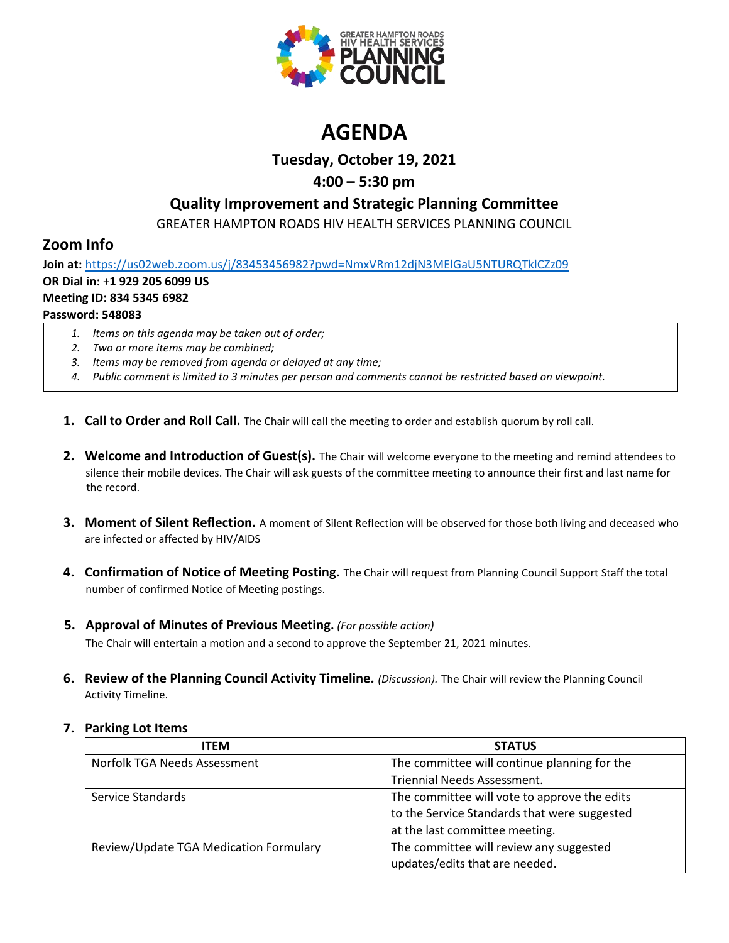

# **AGENDA**

**Tuesday, October 19, 2021**

# **4:00 – 5:30 pm**

## **Quality Improvement and Strategic Planning Committee**

GREATER HAMPTON ROADS HIV HEALTH SERVICES PLANNING COUNCIL

# **Zoom Info**

**Join at:** <https://us02web.zoom.us/j/83453456982?pwd=NmxVRm12djN3MElGaU5NTURQTklCZz09> **OR Dial in:** +**1 929 205 6099 US Meeting ID: 834 5345 6982 Password: 548083**

- *1. Items on this agenda may be taken out of order;*
- *2. Two or more items may be combined;*
- *3. Items may be removed from agenda or delayed at any time;*
- *4. Public comment is limited to 3 minutes per person and comments cannot be restricted based on viewpoint.*
- **1. Call to Order and Roll Call.** The Chair will call the meeting to order and establish quorum by roll call.
- **2. Welcome and Introduction of Guest(s).** The Chair will welcome everyone to the meeting and remind attendees to silence their mobile devices. The Chair will ask guests of the committee meeting to announce their first and last name for the record.
- **3. Moment of Silent Reflection.** A moment of Silent Reflection will be observed for those both living and deceased who are infected or affected by HIV/AIDS
- **4. Confirmation of Notice of Meeting Posting.** The Chair will request from Planning Council Support Staff the total number of confirmed Notice of Meeting postings.
- **5. Approval of Minutes of Previous Meeting.** *(For possible action)*

The Chair will entertain a motion and a second to approve the September 21, 2021 minutes.

**6. Review of the Planning Council Activity Timeline.** *(Discussion).* The Chair will review the Planning Council Activity Timeline.

| <b>ITEM</b>                            | <b>STATUS</b>                                |
|----------------------------------------|----------------------------------------------|
| Norfolk TGA Needs Assessment           | The committee will continue planning for the |
|                                        | Triennial Needs Assessment.                  |
| Service Standards                      | The committee will vote to approve the edits |
|                                        | to the Service Standards that were suggested |
|                                        | at the last committee meeting.               |
| Review/Update TGA Medication Formulary | The committee will review any suggested      |
|                                        | updates/edits that are needed.               |

### **7. Parking Lot Items**